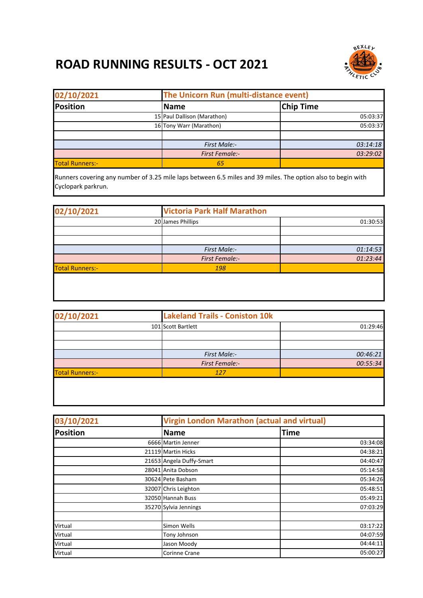## **ROAD RUNNING RESULTS - OCT 2021**



| 02/10/2021             | The Unicorn Run (multi-distance event) |                  |
|------------------------|----------------------------------------|------------------|
| <b>Position</b>        | Name                                   | <b>Chip Time</b> |
|                        | 15 Paul Dallison (Marathon)            | 05:03:37         |
|                        | 16 Tony Warr (Marathon)                | 05:03:37         |
|                        |                                        |                  |
|                        | First Male:-                           | 03:14:18         |
|                        | <b>First Female:-</b>                  | 03:29:02         |
| <b>Total Runners:-</b> | 65                                     |                  |

Runners covering any number of 3.25 mile laps between 6.5 miles and 39 miles. The option also to begin with Cyclopark parkrun.

| 02/10/2021             | <b>Victoria Park Half Marathon</b> |          |
|------------------------|------------------------------------|----------|
|                        | 20 James Phillips                  | 01:30:53 |
|                        |                                    |          |
|                        |                                    |          |
|                        | <b>First Male:-</b>                | 01:14:53 |
|                        | <b>First Female:-</b>              | 01:23:44 |
| <b>Total Runners:-</b> | 198                                |          |
|                        |                                    |          |

| 02/10/2021             | <b>Lakeland Trails - Coniston 10k</b> |          |
|------------------------|---------------------------------------|----------|
|                        | 101 Scott Bartlett                    | 01:29:46 |
|                        |                                       |          |
|                        |                                       |          |
|                        | First Male:-                          | 00:46:21 |
|                        | <b>First Female:-</b>                 | 00:55:34 |
| <b>Total Runners:-</b> | 127                                   |          |
|                        |                                       |          |

| 03/10/2021      | <b>Virgin London Marathon (actual and virtual)</b> |             |
|-----------------|----------------------------------------------------|-------------|
| <b>Position</b> | <b>Name</b>                                        | <b>Time</b> |
|                 | 6666 Martin Jenner                                 | 03:34:08    |
|                 | 21119 Martin Hicks                                 | 04:38:21    |
|                 | 21653 Angela Duffy-Smart                           | 04:40:47    |
|                 | 28041 Anita Dobson                                 | 05:14:58    |
|                 | 30624 Pete Basham                                  | 05:34:26    |
|                 | 32007 Chris Leighton                               | 05:48:51    |
|                 | 32050 Hannah Buss                                  | 05:49:21    |
|                 | 35270 Sylvia Jennings                              | 07:03:29    |
| Virtual         | Simon Wells                                        | 03:17:22    |
| Virtual         | Tony Johnson                                       | 04:07:59    |
| Virtual         | Jason Moody                                        | 04:44:11    |
| Virtual         | Corinne Crane                                      | 05:00:27    |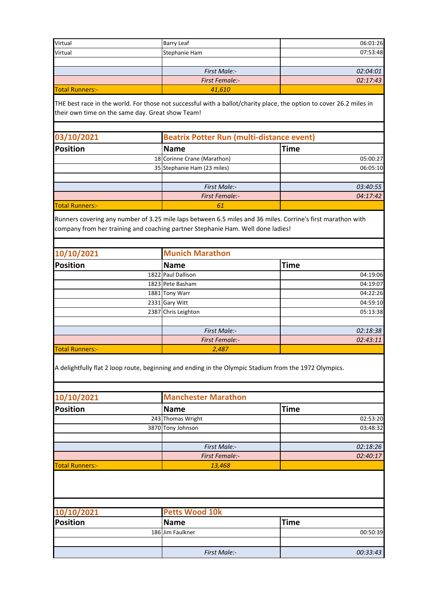| Virtual                | <b>Barry Leaf</b>     | 06:01:26 |
|------------------------|-----------------------|----------|
| Virtual                | Stephanie Ham         | 07:53:48 |
|                        |                       |          |
|                        | First Male:-          | 02:04:01 |
|                        | <b>First Female:-</b> | 02:17:43 |
| <b>Total Runners:-</b> | 41,610                |          |

THE best race in the world. For those not successful with a ballot/charity place, the option to cover 26.2 miles in their own time on the same day. Great show Team!

| 03/10/2021             | <b>Beatrix Potter Run (multi-distance event)</b> |             |  |
|------------------------|--------------------------------------------------|-------------|--|
| <b>Position</b>        | <b>Name</b>                                      | <b>Time</b> |  |
|                        | 18 Corinne Crane (Marathon)                      | 05:00:27    |  |
|                        | 35 Stephanie Ham (23 miles)                      | 06:05:10    |  |
|                        | <b>First Male:-</b>                              | 03:40:55    |  |
|                        | <b>First Female:-</b>                            | 04:17:42    |  |
| <b>Total Runners:-</b> | 61                                               |             |  |

Runners covering any number of 3.25 mile laps between 6.5 miles and 36 miles. Corrine's first marathon with company from her training and coaching partner Stephanie Ham. Well done ladies!

| 10/10/2021             | <b>Munich Marathon</b> |             |
|------------------------|------------------------|-------------|
| <b>Position</b>        | <b>Name</b>            | <b>Time</b> |
|                        | 1822 Paul Dallison     | 04:19:06    |
|                        | 1823 Pete Basham       | 04:19:07    |
|                        | 1881 Tony Warr         | 04:22:26    |
|                        | 2331 Gary Witt         | 04:59:10    |
|                        | 2387 Chris Leighton    | 05:13:38    |
|                        |                        |             |
|                        | First Male:-           | 02:18:38    |
|                        | <b>First Female:-</b>  | 02:43:11    |
| <b>Total Runners:-</b> | 2,487                  |             |

A delightfully flat 2 loop route, beginning and ending in the Olympic Stadium from the 1972 Olympics.

| 10/10/2021             | <b>Manchester Marathon</b> |             |  |
|------------------------|----------------------------|-------------|--|
| <b>Position</b>        | <b>Name</b>                | <b>Time</b> |  |
|                        | 243 Thomas Wright          | 02:53:20    |  |
|                        | 3870 Tony Johnson          | 03:48:32    |  |
|                        |                            |             |  |
|                        | First Male:-               | 02:18:26    |  |
|                        | <b>First Female:-</b>      | 02:40:17    |  |
| <b>Total Runners:-</b> | 13,468                     |             |  |

| 10/10/2021 |  | <b>Petts Wood 10k</b> |             |
|------------|--|-----------------------|-------------|
| Position   |  | <b>Name</b>           | <b>Time</b> |
|            |  | 186 Jim Faulkner      | 00:50:39    |
|            |  |                       |             |
|            |  | First Male:-          | 00:33:43    |